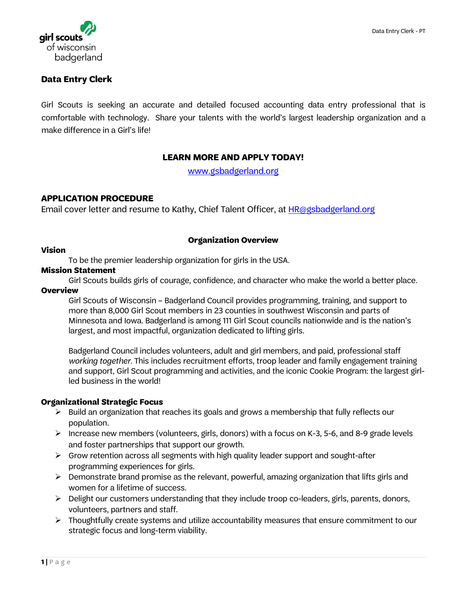



# **Data Entry Clerk**

Girl Scouts is seeking an accurate and detailed focused accounting data entry professional that is comfortable with technology. Share your talents with the world's largest leadership organization and a make difference in a Girl's life!

# **LEARN MORE AND APPLY TODAY!**

[www.gsbadgerland.org](http://www.gsbadgerland.org/)

# **APPLICATION PROCEDURE**

Email cover letter and resume to Kathy, Chief Talent Officer, at **HR@gsbadgerland.org** 

### **Organization Overview**

### **Vision**

To be the premier leadership organization for girls in the USA.

### **Mission Statement**

Girl Scouts builds girls of courage, confidence, and character who make the world a better place.

## **Overview**

Girl Scouts of Wisconsin – Badgerland Council provides programming, training, and support to more than 8,000 Girl Scout members in 23 counties in southwest Wisconsin and parts of Minnesota and Iowa. Badgerland is among 111 Girl Scout councils nationwide and is the nation's largest, and most impactful, organization dedicated to lifting girls.

Badgerland Council includes volunteers, adult and girl members, and paid, professional staff *working together*. This includes recruitment efforts, troop leader and family engagement training and support, Girl Scout programming and activities, and the iconic Cookie Program: the largest girlled business in the world!

### **Organizational Strategic Focus**

- $\triangleright$  Build an organization that reaches its goals and grows a membership that fully reflects our population.
- Increase new members (volunteers, girls, donors) with a focus on K-3, 5-6, and 8-9 grade levels and foster partnerships that support our growth.
- $\triangleright$  Grow retention across all segments with high quality leader support and sought-after programming experiences for girls.
- $\triangleright$  Demonstrate brand promise as the relevant, powerful, amazing organization that lifts girls and women for a lifetime of success.
- $\triangleright$  Delight our customers understanding that they include troop co-leaders, girls, parents, donors, volunteers, partners and staff.
- $\triangleright$  Thoughtfully create systems and utilize accountability measures that ensure commitment to our strategic focus and long-term viability.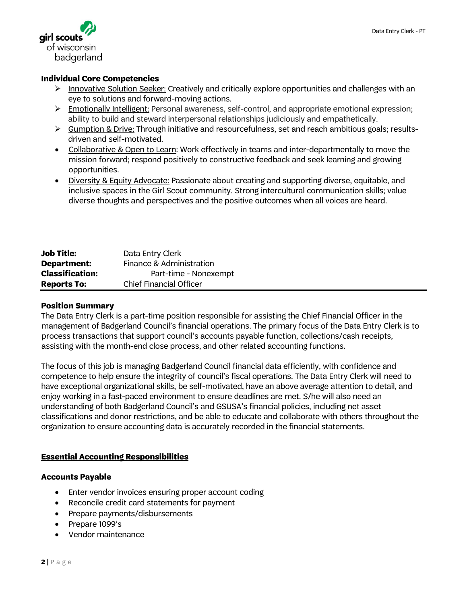

#### **Individual Core Competencies**

- $\triangleright$  Innovative Solution Seeker: Creatively and critically explore opportunities and challenges with an eye to solutions and forward-moving actions.
- Emotionally Intelligent: Personal awareness, self-control, and appropriate emotional expression; ability to build and steward interpersonal relationships judiciously and empathetically.
- $\triangleright$  Gumption & Drive: Through initiative and resourcefulness, set and reach ambitious goals; resultsdriven and self-motivated.
- Collaborative & Open to Learn: Work effectively in teams and inter-departmentally to move the mission forward; respond positively to constructive feedback and seek learning and growing opportunities.
- Diversity & Equity Advocate: Passionate about creating and supporting diverse, equitable, and inclusive spaces in the Girl Scout community. Strong intercultural communication skills; value diverse thoughts and perspectives and the positive outcomes when all voices are heard.

| <b>Job Title:</b>      | Data Entry Clerk               |
|------------------------|--------------------------------|
| Department:            | Finance & Administration       |
| <b>Classification:</b> | Part-time - Nonexempt          |
| <b>Reports To:</b>     | <b>Chief Financial Officer</b> |

#### **Position Summary**

The Data Entry Clerk is a part-time position responsible for assisting the Chief Financial Officer in the management of Badgerland Council's financial operations. The primary focus of the Data Entry Clerk is to process transactions that support council's accounts payable function, collections/cash receipts, assisting with the month-end close process, and other related accounting functions.

The focus of this job is managing Badgerland Council financial data efficiently, with confidence and competence to help ensure the integrity of council's fiscal operations. The Data Entry Clerk will need to have exceptional organizational skills, be self-motivated, have an above average attention to detail, and enjoy working in a fast-paced environment to ensure deadlines are met. S/he will also need an understanding of both Badgerland Council's and GSUSA's financial policies, including net asset classifications and donor restrictions, and be able to educate and collaborate with others throughout the organization to ensure accounting data is accurately recorded in the financial statements.

### **Essential Accounting Responsibilities**

#### **Accounts Payable**

- Enter vendor invoices ensuring proper account coding
- Reconcile credit card statements for payment
- Prepare payments/disbursements
- Prepare 1099's
- Vendor maintenance